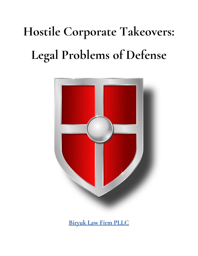# **Hostile Corporate Takeovers: Legal Problems of Defense**



**[Biryuk](https://www.biryuklaw.com/) Law Firm PLLC**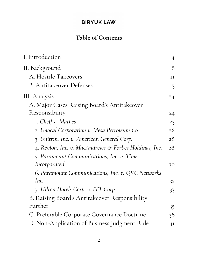# **Table of Contents**

| I. Introduction                                       | $\overline{4}$ |
|-------------------------------------------------------|----------------|
| II. Background                                        | 8              |
| A. Hostile Takeovers                                  | II             |
| <b>B.</b> Antitakeover Defenses                       | 13             |
| III. Analysis                                         | 24             |
| A. Major Cases Raising Board's Antitakeover           |                |
| Responsibility                                        | 24             |
| I. Cheff v. Mathes                                    | 25             |
| 2. Unocal Corporation v. Mesa Petroleum Co.           | 26             |
| 3. Unitrin, Inc. v. American General Corp.            | 28             |
| 4. Revlon, Inc. v. MacAndrews & Forbes Holdings, Inc. | 28             |
| 5. Paramount Communications, Inc. v. Time             |                |
| Incorporated                                          | 30             |
| 6. Paramount Communications, Inc. v. QVC Networks     |                |
| Inc.                                                  | 32             |
| 7. Hilton Hotels Corp. v. ITT Corp.                   | 33             |
| B. Raising Board's Antitakeover Responsibility        |                |
| Further                                               | 35.            |
| C. Preferable Corporate Governance Doctrine           | 38             |
| D. Non-Application of Business Judgment Rule          | 4 <sup>I</sup> |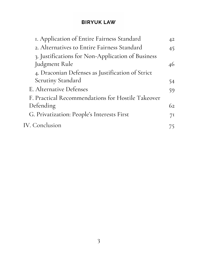| I. Application of Entire Fairness Standard        | 42 |
|---------------------------------------------------|----|
| 2. Alternatives to Entire Fairness Standard       | 45 |
| 3. Justifications for Non-Application of Business |    |
| Judgment Rule                                     | 46 |
| 4. Draconian Defenses as Justification of Strict  |    |
| <b>Scrutiny Standard</b>                          | 54 |
| E. Alternative Defenses                           | 59 |
| F. Practical Recommendations for Hostile Takeover |    |
| Defending                                         | 62 |
| G. Privatization: People's Interests First        | 71 |
| <b>IV. Conclusion</b>                             | 75 |
|                                                   |    |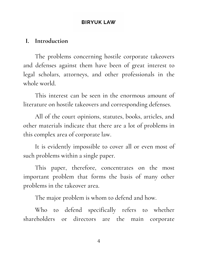#### <span id="page-3-0"></span>**I. Introduction**

The problems concerning hostile corporate takeovers and defenses against them have been of great interest to legal scholars, attorneys, and other professionals in the whole world.

This interest can be seen in the enormous amount of literature on hostile takeovers and corresponding defenses.

All of the court opinions, statutes, books, articles, and other materials indicate that there are a lot of problems in this complex area of corporate law.

It is evidently impossible to cover all or even most of such problems within a single paper.

This paper, therefore, concentrates on the most important problem that forms the basis of many other problems in the takeover area.

The major problem is whom to defend and how.

Who to defend specifically refers to whether shareholders or directors are the main corporate

4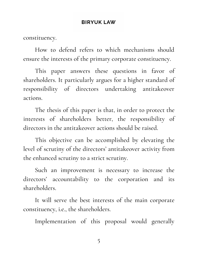constituency.

How to defend refers to which mechanisms should ensure the interests of the primary corporate constituency.

This paper answers these questions in favor of shareholders. It particularly argues for a higher standard of responsibility of directors undertaking antitakeover actions.

The thesis of this paper is that, in order to protect the interests of shareholders better, the responsibility of directors in the antitakeover actions should be raised.

This objective can be accomplished by elevating the level of scrutiny of the directors' antitakeover activity from the enhanced scrutiny to a strict scrutiny.

Such an improvement is necessary to increase the directors' accountability to the corporation and its shareholders.

It will serve the best interests of the main corporate constituency, i.e., the shareholders.

Implementation of this proposal would generally

5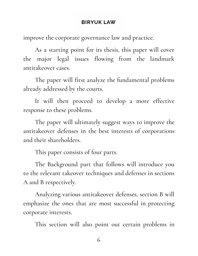improve the corporate governance law and practice.

As a starting point for its thesis, this paper will cover the major legal issues flowing from the landmark antitakeover cases.

The paper will first analyze the fundamental problems already addressed by the courts.

It will then proceed to develop a more effective response to these problems.

The paper will ultimately suggest ways to improve the antitakeover defenses in the best interests of corporations and their shareholders.

This paper consists of four parts.

The Background part that follows will introduce you to the relevant takeover techniques and defenses in sections A and B respectively.

Analyzing various antitakeover defenses, section B will emphasize the ones that are most successful in protecting corporate interests.

This section will also point out certain problems in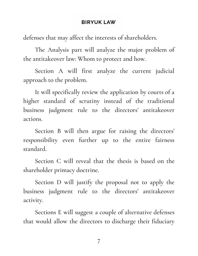defenses that may affect the interests of shareholders.

The Analysis part will analyze the major problem of the antitakeover law: Whom to protect and how.

Section A will first analyze the current judicial approach to the problem.

It will specifically review the application by courts of a higher standard of scrutiny instead of the traditional business judgment rule to the directors' antitakeover actions.

Section B will then argue for raising the directors' responsibility even further up to the entire fairness standard.

Section C will reveal that the thesis is based on the shareholder primacy doctrine.

Section D will justify the proposal not to apply the business judgment rule to the directors' antitakeover activity.

Sections E will suggest a couple of alternative defenses that would allow the directors to discharge their fiduciary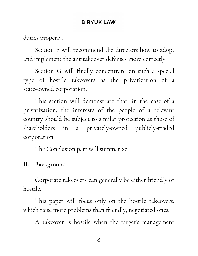duties properly.

Section F will recommend the directors how to adopt and implement the antitakeover defenses more correctly.

Section G will finally concentrate on such a special type of hostile takeovers as the privatization of a state-owned corporation.

This section will demonstrate that, in the case of a privatization, the interests of the people of a relevant country should be subject to similar protection as those of shareholders in a privately-owned publicly-traded corporation.

The Conclusion part will summarize.

# <span id="page-7-0"></span>**II. Background**

Corporate takeovers can generally be either friendly or hostile.

This paper will focus only on the hostile takeovers, which raise more problems than friendly, negotiated ones.

A takeover is hostile when the target's management

8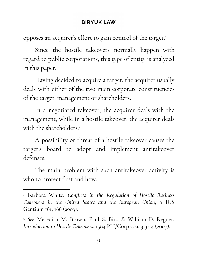opposes an acquirer's effort to gain control of the target. 1

Since the hostile takeovers normally happen with regard to public corporations, this type of entity is analyzed in this paper.

Having decided to acquire a target, the acquirer usually deals with either of the two main corporate constituencies of the target: management or shareholders.

In a negotiated takeover, the acquirer deals with the management, while in a hostile takeover, the acquirer deals with the shareholders. 2

A possibility or threat of a hostile takeover causes the target's board to adopt and implement antitakeover defenses.

The main problem with such antitakeover activity is who to protect first and how.

<sup>1</sup> Barbara White, *Conflicts in the Regulation of Hostile Business Takeovers in the United States and the European Union*, 9 IUS Gentium 161, 166 (2003).

<sup>2</sup> *See* Meredith M. Brown, Paul S. Bird & William D. Regner, *Introduction to Hostile Takeovers*, 1584 PLI/Corp 309, 313-14 (2007).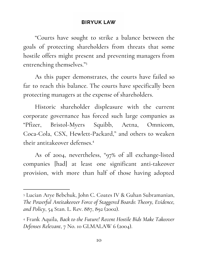"Courts have sought to strike a balance between the goals of protecting shareholders from threats that some hostile offers might present and preventing managers from entrenching themselves." 3

As this paper demonstrates, the courts have failed so far to reach this balance. The courts have specifically been protecting managers at the expense of shareholders.

Historic shareholder displeasure with the current corporate governance has forced such large companies as "Pfizer, Bristol-Myers Squibb, Aetna, Omnicom, Coca-Cola, CSX, Hewlett-Packard, " and others to weaken their antitakeover defenses. 4

As of 2004, nevertheless, " 97% of all exchange-listed companies [had] at least one significant anti-takeover provision, with more than half of those having adopted

<sup>3</sup> Lucian Arye Bebchuk, John C. Coates IV & Guhan Subramanian, *The Powerful Antitakeover Force of Staggered Boards: Theory, Evidence, and Policy*, 54 Stan. L. Rev. 887, 892 (2002).

<sup>4</sup> Frank Aquila, *Back to the Future! Recent Hostile Bids Make Takeover Defenses Relevant*, 7 No. 10 GLMALAW 6 (2004).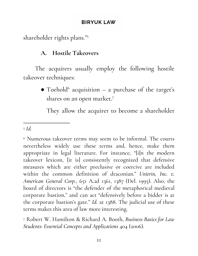<span id="page-10-0"></span>shareholder rights plans." 5

## **A. Hostile Takeovers**

The acquirers usually employ the following hostile takeover techniques:

> $\bullet$  Toehold<sup>6</sup> acquisition - a purchase of the target's shares on an open market. 7

They allow the acquirer to become a shareholder

#### <sup>5</sup> *Id.*

<sup>6</sup> Numerous takeover terms may seem to be informal. The courts nevertheless widely use these terms and, hence, make them appropriate in legal literature. For instance, "[i]n the modern takeover lexicon, [it is] consistently recognized that defensive measures which are either preclusive or coercive are included within the common definition of draconian." *Unitrin, Inc. v. American General Corp.*, 651 A.2d 1361, 1387 (Del. 1995). Also, the board of directors is "the defender of the metaphorical medieval corporate bastion," and can act "defensively before a bidder is at the corporate bastion's gate." *Id.* at 1388. The judicial use of these terms makes this area of law more interesting.

<sup>7</sup> Robert W. Hamilton & Richard A. Booth, *Business Basics for Law Students: Essential Concepts and Applications* 404 (2006).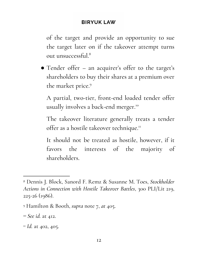of the target and provide an opportunity to sue the target later on if the takeover attempt turns out unsuccessful. 8

● Tender offer – an acquirer's offer to the target's shareholders to buy their shares at a premium over the market price. 9

A partial, two-tier, front-end loaded tender offer usually involves a back-end merger. 10

The takeover literature generally treats a tender offer as a hostile takeover technique.<sup>11</sup>

It should not be treated as hostile, however, if it favors the interests of the majority of shareholders.

<sup>8</sup> Dennis J. Block, Sanord F. Remz & Susanne M. Toes, *Stockholder Actions in Connection with Hostile Takeover Battles*, 300 PLI/Lit 219, 225-26 (1986).

<sup>9</sup> Hamilton & Booth, *supra* note 7, *at* 405.

<sup>10</sup> *See id.* at 412.

<sup>&</sup>lt;sup>11</sup> *Id.* at 402, 405.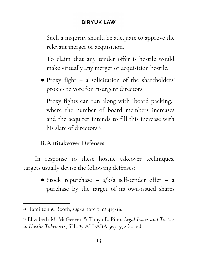Such a majority should be adequate to approve the relevant merger or acquisition.

To claim that any tender offer is hostile would make virtually any merger or acquisition hostile.

● Proxy fight – a solicitation of the shareholders' proxies to vote for insurgent directors. 12

Proxy fights can run along with "board packing, " where the number of board members increases and the acquirer intends to fill this increase with his slate of directors. 13

# <span id="page-12-0"></span>**B.Antitakeover Defenses**

In response to these hostile takeover techniques, targets usually devise the following defenses:

> • Stock repurchase –  $a/k/a$  self-tender offer – a purchase by the target of its own-issued shares

<sup>12</sup> Hamilton & Booth, *supra* note 7, *at* 415-16.

<sup>13</sup> Elizabeth M. McGeever & Tanya E. Pino, *Legal Issues and Tactics in Hostile Takeovers*, SH083 ALI-ABA 567, 572 (2002).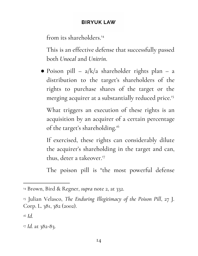from its shareholders. 14

This is an effective defense that successfully passed both *Unocal* and *Unitrin*.

 $\bullet$  Poison pill – a/k/a shareholder rights plan – a distribution to the target's shareholders of the rights to purchase shares of the target or the merging acquirer at a substantially reduced price. 15

What triggers an execution of these rights is an acquisition by an acquirer of a certain percentage of the target's shareholding.<sup>16</sup>

If exercised, these rights can considerably dilute the acquirer's shareholding in the target and can, thus, deter a takeover. 17

The poison pill is "the most powerful defense

<sup>14</sup> Brown, Bird & Regner, *supra* note 2, at 332.

<sup>15</sup> Julian Velasco, *The Enduring Illegitimacy of the Poison Pill*, 27 J. Corp. L. 381, 382 (2002).

<sup>16</sup> *Id.*

<sup>17</sup> *Id.* at 382-83.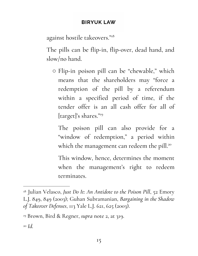against hostile takeovers." 18

The pills can be flip-in, flip-over, dead hand, and slow/no hand.

○ Flip-in poison pill can be " chewable, " which means that the shareholders may "force a redemption of the pill by a referendum within a specified period of time, if the tender offer is an all cash offer for all of [target]'s shares." 19

The poison pill can also provide for a " window of redemption, " a period within which the management can redeem the pill.<sup>20</sup>

This window, hence, determines the moment when the management's right to redeem terminates.

<sup>18</sup> Julian Velasco, *Just Do It: An Antidote to the Poison Pill*, 52 Emory L.J. 849, 849 (2003); Guhan Subramanian, *Bargaining in the Shadow of Takeover Defenses*, 113 Yale L.J. 621, 625 (2003).

<sup>19</sup> Brown, Bird & Regner, *supra* note 2, at 319.

<sup>20</sup> *Id.*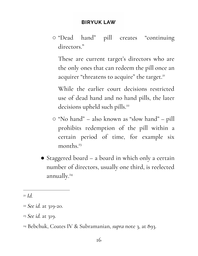○ "Dead hand" pill creates " continuing directors."

These are current target's directors who are the only ones that can redeem the pill once an acquirer "threatens to acquire" the target.<sup>21</sup>

While the earlier court decisions restricted use of dead hand and no hand pills, the later decisions upheld such pills. 22

- "No hand" also known as " slow hand" pill prohibits redemption of the pill within a certain period of time, for example six months. 23
- Staggered board a board in which only a certain number of directors, usually one third, is reelected annually. 24

<sup>21</sup> *Id.*

<sup>22</sup> *See id.* at 319-20.

<sup>23</sup> *See id.* at 319.

<sup>24</sup> Bebchuk, Coates IV & Subramanian, *supra* note 3, at 893.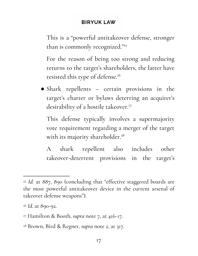This is a " powerful antitakeover defense, stronger than is commonly recognized." 25

For the reason of being too strong and reducing returns to the target's shareholders, the latter have resisted this type of defense. 26

● Shark repellents – certain provisions in the target's charter or bylaws deterring an acquirer's desirability of a hostile takeover. 27

This defense typically involves a supermajority vote requirement regarding a merger of the target with its majority shareholder. 28

A shark repellent also includes other takeover-deterrent provisions in the target's

<sup>25</sup> *Id.* at 887, 890 (concluding that "effective staggered boards are the most powerful antitakeover device in the current arsenal of takeover defense weapons").

<sup>26</sup> *Id.* at 890-92.

<sup>27</sup> Hamilton & Booth, *supra* note 7, at 416-17.

<sup>28</sup> Brown, Bird & Regner, *supra* note 2, at 317.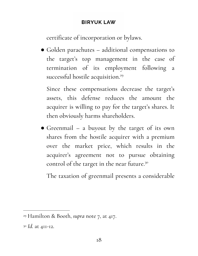certificate of incorporation or bylaws.

● Golden parachutes – additional compensations to the target's top management in the case of termination of its employment following a successful hostile acquisition. 29

Since these compensations decrease the target's assets, this defense reduces the amount the acquirer is willing to pay for the target's shares. It then obviously harms shareholders.

● Greenmail – a buyout by the target of its own shares from the hostile acquirer with a premium over the market price, which results in the acquirer's agreement not to pursue obtaining control of the target in the near future.<sup>30</sup>

The taxation of greenmail presents a considerable

<sup>29</sup> Hamilton & Booth, *supra* note 7, at 417.

<sup>30</sup> *Id.* at 411-12.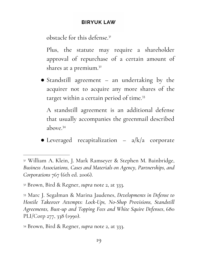obstacle for this defense.<sup>31</sup>

Plus, the statute may require a shareholder approval of repurchase of a certain amount of shares at a premium. 32

● Standstill agreement – an undertaking by the acquirer not to acquire any more shares of the target within a certain period of time. 33

A standstill agreement is an additional defense that usually accompanies the greenmail described above. 34

 $\bullet$  Leveraged recapitalization – a/k/a corporate

<sup>31</sup> William A. Klein, J. Mark Ramseyer & Stephen M. Bainbridge, *Business Associations, Cases and Materials on Agency, Partnerships, and Corporations* 767 (6th ed. 2006).

<sup>32</sup> Brown, Bird & Regner, *supra* note 2, at 333.

<sup>33</sup> Marc J. Segalman & Marina Jaudenes, *Developments in Defense to Hostile Takeover Attempts: Lock-Ups, No-Shop Provisions, Standstill Agreements, Bust-up and Topping Fees and White Squire Defenses*, 680 PLI/Corp 277, 338 (1990).

<sup>34</sup> Brown, Bird & Regner, *supra* note 2, at 333.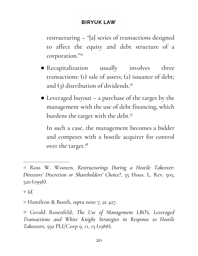restructuring – "[a] series of transactions designed to affect the equity and debt structure of a corporation." 35

- Recapitalization usually involves three transactions: (1) sale of assets; (2) issuance of debt; and (3) distribution of dividends. 36
- Leveraged buyout a purchase of the target by the management with the use of debt financing, which burdens the target with the debt. 37

In such a case, the management becomes a bidder and competes with a hostile acquirer for control over the target. 38

<sup>35</sup> Ross W. Wooten, *Restructurings During a Hostile Takeover: Directors' Discretion or Shareholders' Choice?*, 35 Hous. L. Rev. 505, 520 (1998).

<sup>36</sup> *Id.*

<sup>37</sup> Hamilton & Booth, *supra* note 7, at 427.

<sup>38</sup> Gerald Rosenfeld, *The Use of Management LBO's, Leveraged Transactions and White Knight Strategies in Response to Hostile Takeovers*, 592 PLI/Corp 9, 11, 15 (1988).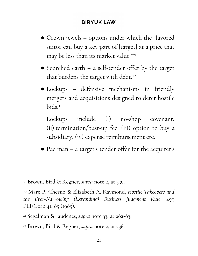- Crown jewels options under which the "favored suitor can buy a key part of [target] at a price that may be less than its market value." 39
- Scorched earth a self-tender offer by the target that burdens the target with debt.<sup>40</sup>
- Lockups defensive mechanisms in friendly mergers and acquisitions designed to deter hostile bids. 41

Lockups include (i) no-shop covenant, (ii) termination/bust-up fee, (iii) option to buy a subsidiary, (iv) expense reimbursement etc.<sup>42</sup>

● Pac man – a target's tender offer for the acquirer's

<sup>39</sup> Brown, Bird & Regner, *supra* note 2, at 336.

<sup>40</sup> Marc P. Cherno & Elizabeth A. Raymond, *Hostile Takeovers and the Ever-Narrowing (Expanding) Business Judgment Rule*, 499 PLI/Corp 41, 85 (1985).

<sup>41</sup> Segalman & Jaudenes, *supra* note 33, at 282-83.

<sup>42</sup> Brown, Bird & Regner, *supra* note 2, at 336.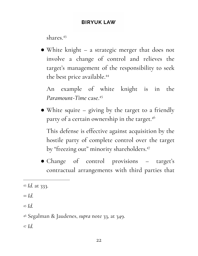shares. 43

● White knight – a strategic merger that does not involve a change of control and relieves the target's management of the responsibility to seek the best price available. 44

An example of white knight is in the *Paramount-Time* case. 45

● White squire – giving by the target to a friendly party of a certain ownership in the target. 46

This defense is effective against acquisition by the hostile party of complete control over the target by "freezing out" minority shareholders. 47

● Change of control provisions – target's contractual arrangements with third parties that

<sup>43</sup> *Id.* at 333.

<sup>44</sup> *Id.*

<sup>45</sup> *Id.*

<sup>47</sup> *Id.*

<sup>46</sup> Segalman & Jaudenes, *supra* note 33, at 349.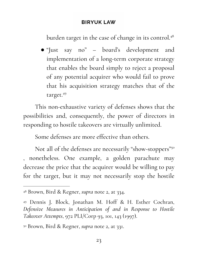burden target in the case of change in its control. 48

● "Just say no" – board's development and implementation of a long-term corporate strategy that enables the board simply to reject a proposal of any potential acquirer who would fail to prove that his acquisition strategy matches that of the target. 49

This non-exhaustive variety of defenses shows that the possibilities and, consequently, the power of directors in responding to hostile takeovers are virtually unlimited.

Some defenses are more effective than others.

Not all of the defenses are necessarily "show-stoppers"<sup>50</sup> , nonetheless. One example, a golden parachute may decrease the price that the acquirer would be willing to pay for the target, but it may not necessarily stop the hostile

<sup>48</sup> Brown, Bird & Regner, *supra* note 2, at 334.

<sup>49</sup> Dennis J. Block, Jonathan M. Hoff & H. Esther Cochran, *Defensive Measures in Anticipation of and in Response to Hostile Takeover Attempts*, 972 PLI/Corp 93, 101, 143 (1997).

<sup>50</sup> Brown, Bird & Regner, *supra* note 2, at 331.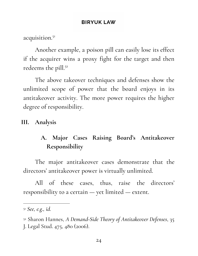acquisition. 51

Another example, a poison pill can easily lose its effect if the acquirer wins a proxy fight for the target and then redeems the pill. 52

The above takeover techniques and defenses show the unlimited scope of power that the board enjoys in its antitakeover activity. The more power requires the higher degree of responsibility.

## <span id="page-23-1"></span><span id="page-23-0"></span>**III. Analysis**

# **A. Major Cases Raising Board's Antitakeover Responsibility**

The major antitakeover cases demonstrate that the directors' antitakeover power is virtually unlimited.

All of these cases, thus, raise the directors' responsibility to a certain — yet limited — extent.

<sup>51</sup> *See, e.g., id.*

<sup>52</sup> Sharon Hannes, *A Demand-Side Theory of Antitakeover Defenses*, 35

J. Legal Stud. 475, 480 (2006).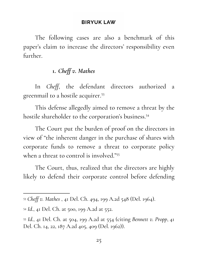The following cases are also a benchmark of this paper's claim to increase the directors' responsibility even further.

# **1.** *Chef v. Mathes*

<span id="page-24-0"></span>In *Cheff*, the defendant directors authorized a greenmail to a hostile acquirer. 53

This defense allegedly aimed to remove a threat by the hostile shareholder to the corporation's business. 54

The Court put the burden of proof on the directors in view of "the inherent danger in the purchase of shares with corporate funds to remove a threat to corporate policy when a threat to control is involved." 55

The Court, thus, realized that the directors are highly likely to defend their corporate control before defending

<sup>53</sup> *Cheff v. Mathes* , 41 Del. Ch. 494, 199 A.2d 548 (Del. 1964).

<sup>54</sup> *Id.*, 41 Del. Ch. at 500, 199 A.2d at 552.

<sup>55</sup> *Id.*, 41 Del. Ch. at 504, 199 A.2d at 554 (citing *Bennett v. Propp*, 41 Del. Ch. 14, 22, 187 A.2d 405, 409 (Del. 1962)).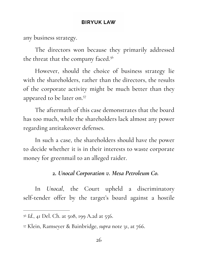any business strategy.

The directors won because they primarily addressed the threat that the company faced. 56

However, should the choice of business strategy lie with the shareholders, rather than the directors, the results of the corporate activity might be much better than they appeared to be later on. 57

The aftermath of this case demonstrates that the board has too much, while the shareholders lack almost any power regarding antitakeover defenses.

In such a case, the shareholders should have the power to decide whether it is in their interests to waste corporate money for greenmail to an alleged raider.

## **2.** *Unocal Corporation v. Mesa Petroleum Co.*

<span id="page-25-0"></span>In *Unocal*, the Court upheld a discriminatory self-tender offer by the target's board against a hostile

<sup>56</sup> *Id.*, 41 Del. Ch. at 508, 199 A.2d at 556.

<sup>57</sup> Klein, Ramseyer & Bainbridge, *supra* note 31, at 766.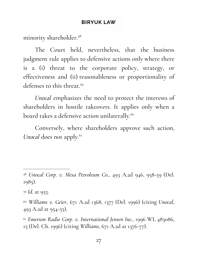minority shareholder. 58

The Court held, nevertheless, that the business judgment rule applies to defensive actions only where there is a (i) threat to the corporate policy, strategy, or effectiveness and (ii) reasonableness or proportionality of defenses to this threat. 59

*Unocal* emphasizes the need to protect the interests of shareholders in hostile takeovers. It applies only when a board takes a defensive action unilaterally. 60

Conversely, where shareholders approve such action, Unocal does not apply.<sup>61</sup>

<sup>59</sup> *Id.* at 955.

<sup>60</sup> *Williams v. Geier*, 671 A.2d 1368, 1377 (Del. 1996) (citing *Unocal*, 493 A.2d at 954-55).

<sup>61</sup> *Emerson Radio Corp. v. International Jensen Inc.*, 1996 WL 483086, 15 (Del. Ch. 1996) (citing *Williams*, 671 A.2d at 1376-77).

<sup>58</sup> *Unocal Corp. v. Mesa Petroleum Co.*, 493 A.2d 946, 958-59 (Del. 1985).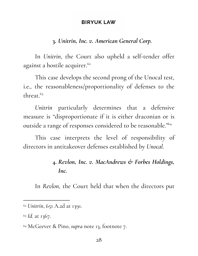## **3.** *Unitrin, Inc. v. American General Corp.*

<span id="page-27-0"></span>In *Unitrin*, the Court also upheld a self-tender offer against a hostile acquirer. 62

This case develops the second prong of the Unocal test, i.e., the reasonableness/proportionality of defenses to the threat. 63

*Unitrin* particularly determines that a defensive measure is "disproportionate if it is either draconian or is outside a range of responses considered to be reasonable." 64

<span id="page-27-1"></span>This case interprets the level of responsibility of directors in antitakeover defenses established by *Unocal*.

# **4.** *Revlon, Inc. v. MacAndrews & Forbes Holdings, Inc.*

In *Revlon*, the Court held that when the directors put

<sup>62</sup> *Unitrin*, 651 A.2d at 1391.

<sup>63</sup> *Id.* at 1367.

<sup>64</sup> McGeever & Pino, *supra* note 13, footnote 7.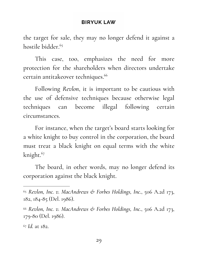the target for sale, they may no longer defend it against a hostile bidder. 65

This case, too, emphasizes the need for more protection for the shareholders when directors undertake certain antitakeover techniques. 66

Following *Revlon*, it is important to be cautious with the use of defensive techniques because otherwise legal techniques can become illegal following certain circumstances.

For instance, when the target's board starts looking for a white knight to buy control in the corporation, the board must treat a black knight on equal terms with the white knight. 67

The board, in other words, may no longer defend its corporation against the black knight.

<sup>65</sup> *Revlon, Inc. v. MacAndrews & Forbes Holdings, Inc.*, 506 A.2d 173, 182, 184-85 (Del. 1986).

<sup>66</sup> *Revlon, Inc. v. MacAndrews & Forbes Holdings, Inc.*, 506 A.2d 173, 179-80 (Del. 1986).

<sup>67</sup> *Id.* at 182.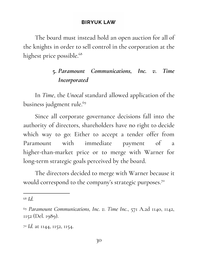The board must instead hold an open auction for all of the knights in order to sell control in the corporation at the highest price possible. 68

# **5.** *Paramount Communications, Inc. v. Time Incorporated*

<span id="page-29-0"></span>In *Time*, the *Unocal* standard allowed application of the business judgment rule. 69

Since all corporate governance decisions fall into the authority of directors, shareholders have no right to decide which way to go: Either to accept a tender offer from Paramount with immediate payment of a higher-than-market price or to merge with Warner for long-term strategic goals perceived by the board.

The directors decided to merge with Warner because it would correspond to the company 's strategic purposes. 70

<sup>68</sup> *Id.*

<sup>69</sup> *Paramount Communications, Inc. v. Time Inc.*, 571 A.2d 1140, 1142, 1152 (Del. 1989).

<sup>70</sup> *Id.* at 1144, 1152, 1154.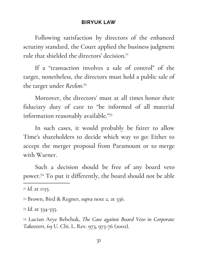Following satisfaction by directors of the enhanced scrutiny standard, the Court applied the business judgment rule that shielded the directors' decision.<sup>71</sup>

If a "transaction involves a sale of control" of the target, nonetheless, the directors must hold a public sale of the target under *Revlon*. 72

Moreover, the directors' must at all times honor their fiduciary duty of care to "be informed of all material information reasonably available." 73

In such cases, it would probably be fairer to allow Time's shareholders to decide which way to go: Either to accept the merger proposal from Paramount or to merge with Warner.

Such a decision should be free of any board veto power.<sup>74</sup> To put it differently, the board should not be able

<sup>73</sup> *Id.* at 334-335.

<sup>74</sup> Lucian Arye Bebchuk, *The Case against Board Veto in Corporate Takeovers*, 69 U. Chi. L. Rev. 973, 975-76 (2002).

<sup>71</sup> *Id.* at 1155.

<sup>72</sup> Brown, Bird & Regner, *supra* note 2, at 336.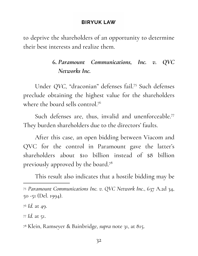<span id="page-31-0"></span>to deprive the shareholders of an opportunity to determine their best interests and realize them.

# **6.** *Paramount Communications, Inc. v. QVC Networks Inc.*

Under QVC, "draconian" defenses fail.<sup>75</sup> Such defenses preclude obtaining the highest value for the shareholders where the board sells control. 76

Such defenses are, thus, invalid and unenforceable. 77 They burden shareholders due to the directors' faults.

After this case, an open bidding between Viacom and QVC for the control in Paramount gave the latter's shareholders about \$10 billion instead of \$8 billion previously approved by the board. 78

This result also indicates that a hostile bidding may be

<sup>75</sup> *Paramount Communications Inc. v. QVC Network Inc.*, 637 A.2d 34, 50 -51 (Del. 1994).

<sup>76</sup> *Id.* at 49.

<sup>77</sup> *Id.* at 51.

<sup>78</sup> Klein, Ramseyer & Bainbridge, *supra* note 31, at 815.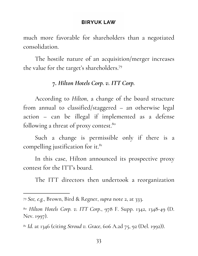much more favorable for shareholders than a negotiated consolidation.

<span id="page-32-0"></span>The hostile nature of an acquisition/merger increases the value for the target's shareholders. 79

## **7.** *Hilton Hotels Corp. v. ITT Corp.*

According to *Hilton*, a change of the board structure from annual to classified/staggered – an otherwise legal action – can be illegal if implemented as a defense following a threat of proxy contest.<sup>80</sup>

Such a change is permissible only if there is a compelling justification for it.<sup>81</sup>

In this case, Hilton announced its prospective proxy contest for the ITT's board.

The ITT directors then undertook a reorganization

<sup>79</sup> *See, e.g.*, Brown, Bird & Regner, *supra* note 2, at 333.

<sup>80</sup> *Hilton Hotels Corp. v. ITT Corp.*, 978 F. Supp. 1342, 1348-49 (D. Nev. 1997).

<sup>81</sup> *Id.* at 1346 (citing *Stroud v. Grace*, 606 A.2d 75, 92 (Del. 1992)).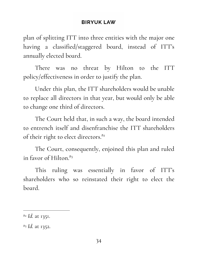plan of splitting ITT into three entities with the major one having a classified/staggered board, instead of ITT's annually elected board.

There was no threat by Hilton to the ITT policy/effectiveness in order to justify the plan.

Under this plan, the ITT shareholders would be unable to replace all directors in that year, but would only be able to change one third of directors.

The Court held that, in such a way, the board intended to entrench itself and disenfranchise the ITT shareholders of their right to elect directors.<sup>82</sup>

The Court, consequently, enjoined this plan and ruled in favor of Hilton. 83

This ruling was essentially in favor of ITT's shareholders who so reinstated their right to elect the board.

<sup>82</sup> *Id.* at 1351.

<sup>83</sup> *Id.* at 1352.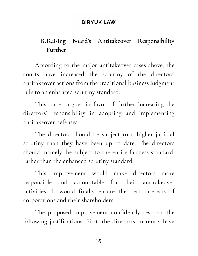# <span id="page-34-0"></span>**B.Raising Board's Antitakeover Responsibility Further**

According to the major antitakeover cases above, the courts have increased the scrutiny of the directors' antitakeover actions from the traditional business judgment rule to an enhanced scrutiny standard.

This paper argues in favor of further increasing the directors' responsibility in adopting and implementing antitakeover defenses.

The directors should be subject to a higher judicial scrutiny than they have been up to date. The directors should, namely, be subject to the entire fairness standard, rather than the enhanced scrutiny standard.

This improvement would make directors more responsible and accountable for their antitakeover activities. It would finally ensure the best interests of corporations and their shareholders.

The proposed improvement confidently rests on the following justifications. First, the directors currently have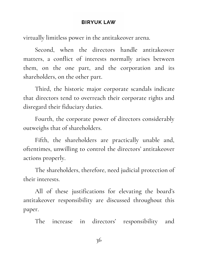virtually limitless power in the antitakeover arena.

Second, when the directors handle antitakeover matters, a conflict of interests normally arises between them, on the one part, and the corporation and its shareholders, on the other part.

Third, the historic major corporate scandals indicate that directors tend to overreach their corporate rights and disregard their fiduciary duties.

Fourth, the corporate power of directors considerably outweighs that of shareholders.

Fifth, the shareholders are practically unable and, oftentimes, unwilling to control the directors' antitakeover actions properly.

The shareholders, therefore, need judicial protection of their interests.

All of these justifications for elevating the board's antitakeover responsibility are discussed throughout this paper.

The increase in directors' responsibility and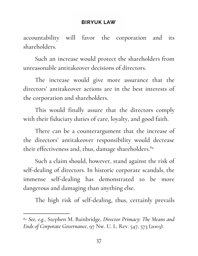accountability will favor the corporation and its shareholders.

Such an increase would protect the shareholders from unreasonable antitakeover decisions of directors.

The increase would give more assurance that the directors' antitakeover actions are in the best interests of the corporation and shareholders.

This would finally assure that the directors comply with their fiduciary duties of care, loyalty, and good faith.

There can be a counterargument that the increase of the directors' antitakeover responsibility would decrease their effectiveness and, thus, damage shareholders. 84

Such a claim should, however, stand against the risk of self-dealing of directors. In historic corporate scandals, the immense self-dealing has demonstrated to be more dangerous and damaging than anything else.

The high risk of self-dealing, thus, certainly prevails

<sup>84</sup> *See, e.g.*, Stephen M. Bainbridge, *Director Primacy: The Means and Ends of Corporate Governance*, 97 Nw. U. L. Rev. 547, 573 (2003).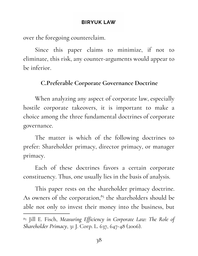over the foregoing counterclaim.

Since this paper claims to minimize, if not to eliminate, this risk, any counter-arguments would appear to be inferior.

# **C.Preferable Corporate Governance Doctrine**

When analyzing any aspect of corporate law, especially hostile corporate takeovers, it is important to make a choice among the three fundamental doctrines of corporate governance.

The matter is which of the following doctrines to prefer: Shareholder primacy, director primacy, or manager primacy.

Each of these doctrines favors a certain corporate constituency. Thus, one usually lies in the basis of analysis.

This paper rests on the shareholder primacy doctrine. As owners of the corporation,<sup>85</sup> the shareholders should be able not only to invest their money into the business, but

<sup>85</sup> Jill E. Fisch, *Measuring Efficiency in Corporate Law: The Role of Shareholder Primacy*, 31 J. Corp. L. 637, 647-48 (2006).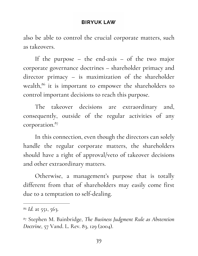also be able to control the crucial corporate matters, such as takeovers.

If the purpose – the end-axis – of the two major corporate governance doctrines – shareholder primacy and director primacy – is maximization of the shareholder wealth,<sup>86</sup> it is important to empower the shareholders to control important decisions to reach this purpose.

The takeover decisions are extraordinary and, consequently, outside of the regular activities of any corporation. 87

In this connection, even though the directors can solely handle the regular corporate matters, the shareholders should have a right of approval/veto of takeover decisions and other extraordinary matters.

Otherwise, a management's purpose that is totally different from that of shareholders may easily come first due to a temptation to self-dealing.

<sup>86</sup> *Id.* at 551, 563.

<sup>87</sup> Stephen M. Bainbridge, *The Business Judgment Rule as Abstention Doctrine*, 57 Vand. L. Rev. 83, 129 (2004).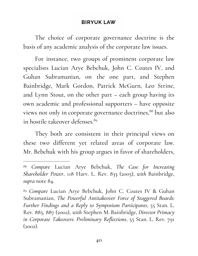The choice of corporate governance doctrine is the basis of any academic analysis of the corporate law issues.

For instance, two groups of prominent corporate law specialists Lucian Arye Bebchuk, John C. Coates IV, and Guhan Subramanian, on the one part, and Stephen Bainbridge, Mark Gordon, Patrick McGurn, Leo Strine, and Lynn Stout, on the other part – each group having its own academic and professional supporters – have opposite views not only in corporate governance doctrines,  $88$  but also in hostile takeover defenses. 89

They both are consistent in their principal views on these two different yet related areas of corporate law. Mr. Bebchuk with his group argues in favor of shareholders,

<sup>88</sup> *Compare* Lucian Arye Bebchuk, *The Case for Increasing Shareholder Power*, 118 Harv. L. Rev. 833 (2005), *with* Bainbridge, *supra* note 84.

<sup>89</sup> *Compare* Lucian Arye Bebchuk, John C. Coates IV & Guhan Subramanian, *The Powerful Antitakeover Force of Staggered Boards: Further Findings and a Reply to Symposium Participants*, 55 Stan. L. Rev. 885, 887 (2002), *with* Stephen M. Bainbridge, *Director Primacy in Corporate Takeovers: Preliminary Reflections*, 55 Stan. L. Rev. 791  $(2002)$ .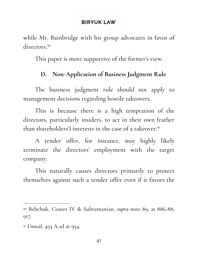while Mr. Bainbridge with his group advocates in favor of directors. 90

This paper is more supportive of the former's view.

# **D. Non-Application of Business Judgment Rule**

The business judgment rule should not apply to management decisions regarding hostile takeovers.

This is because there is a high temptation of the directors, particularly insiders, to act in their own (rather than shareholders') interests in the case of a takeover.<sup>91</sup>

A tender offer, for instance, may highly likely terminate the directors' employment with the target company.

This naturally causes directors primarily to protect themselves against such a tender offer even if it favors the

<sup>90</sup> Bebchuk, Coates IV & Subramanian, *supra* note 89, at 886-88, 917.

<sup>91</sup> *Unocal*, 493 A.2d at 954.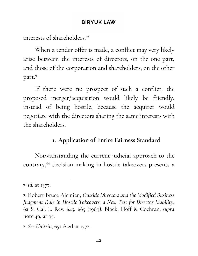interests of shareholders. 92

When a tender offer is made, a conflict may very likely arise between the interests of directors, on the one part, and those of the corporation and shareholders, on the other part. 93

If there were no prospect of such a conflict, the proposed merger/acquisition would likely be friendly, instead of being hostile, because the acquirer would negotiate with the directors sharing the same interests with the shareholders.

# **1. Application of Entire Fairness Standard**

Notwithstanding the current judicial approach to the contrary,<sup>94</sup> decision-making in hostile takeovers presents a

<sup>92</sup> *Id.* at 1377.

<sup>93</sup> Robert Bruce Ajemian, *Outside Directors and the Modified Business Judgment Rule in Hostile Takeovers: a New Test for Director Liability*, 62 S. Cal. L. Rev. 645, 665 (1989); Block, Hoff & Cochran, *supra* note 49, at 95.

<sup>94</sup> *See Unitrin*, 651 A.2d at 1372.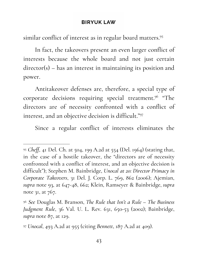similar conflict of interest as in regular board matters. 95

In fact, the takeovers present an even larger conflict of interests because the whole board and not just certain director(s) – has an interest in maintaining its position and power.

Antitakeover defenses are, therefore, a special type of corporate decisions requiring special treatment.<sup>96</sup> "The directors are of necessity confronted with a conflict of interest, and an objective decision is difficult." 97

Since a regular conflict of interests eliminates the

<sup>95</sup> *Cheff*, 41 Del. Ch. at 504, 199 A.2d at 554 (Del. 1964) (stating that, in the case of a hostile takeover, the "directors are of necessity confronted with a conflict of interest, and an objective decision is difficult"); Stephen M. Bainbridge, *Unocal at 20: Director Primacy in Corporate Takeovers*, 31 Del. J. Corp. L. 769, 862 (2006); Ajemian, *supra* note 93, at 647-48, 662; Klein, Ramseyer & Bainbridge, *supra* note 31, at 767.

<sup>96</sup> *See* Douglas M. Branson, *The Rule that Isn't a Rule – The Business Judgment Rule*, 36 Val. U. L. Rev. 631, 650-53 (2002); Bainbridge, *supra* note 87, at 129.

<sup>97</sup> *Unocal*, 493 A.2d at 955 (citing *Bennett*, 187 A.2d at 409).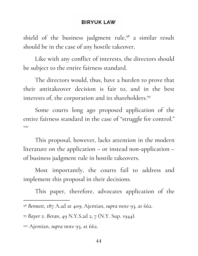shield of the business judgment rule, $98$  a similar result should be in the case of any hostile takeover.

Like with any conflict of interests, the directors should be subject to the entire fairness standard.

The directors would, thus, have a burden to prove that their antitakeover decision is fair to, and in the best interests of, the corporation and its shareholders. 99

Some courts long ago proposed application of the entire fairness standard in the case of " struggle for control." 100

This proposal, however, lacks attention in the modern literature on the application – or instead non-application – of business judgment rule in hostile takeovers.

Most importantly, the courts fail to address and implement this proposal in their decisions.

This paper, therefore, advocates application of the

<sup>98</sup> *Bennett*, 187 A.2d at 409; Ajemian, *supra* note 93, at 662.

<sup>99</sup> *Bayer v. Beran*, 49 N.Y.S.2d 2, 7 (N.Y. Sup. 1944).

<sup>100</sup> Ajemian, *supra* note 93, at 662.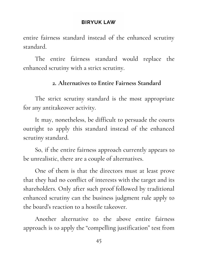entire fairness standard instead of the enhanced scrutiny standard.

The entire fairness standard would replace the enhanced scrutiny with a strict scrutiny.

# **2. Alternatives to Entire Fairness Standard**

The strict scrutiny standard is the most appropriate for any antitakeover activity.

It may, nonetheless, be difficult to persuade the courts outright to apply this standard instead of the enhanced scrutiny standard.

So, if the entire fairness approach currently appears to be unrealistic, there are a couple of alternatives.

One of them is that the directors must at least prove that they had no conflict of interests with the target and its shareholders. Only after such proof followed by traditional enhanced scrutiny can the business judgment rule apply to the board's reaction to a hostile takeover.

Another alternative to the above entire fairness approach is to apply the " compelling justification" test from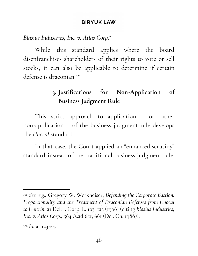*Blasius Industries, Inc. v. Atlas Corp*. 101

While this standard applies where the board disenfranchises shareholders of their rights to vote or sell stocks, it can also be applicable to determine if certain defense is draconian. 102

# **3. Justifications for Non-Application of Business Judgment Rule**

This strict approach to application – or rather non-application – of the business judgment rule develops the *Unocal* standard.

In that case, the Court applied an " enhanced scrutiny " standard instead of the traditional business judgment rule.

<sup>101</sup> *See, e.g.*, Gregory W. Werkheiser, *Defending the Corporate Bastion: Proportionality and the Treatment of Draconian Defenses from Unocal to Unitrin*, 21 Del. J. Corp. L. 103, 123 (1996) (citing *Blasius Industries, Inc. v. Atlas Corp.*, 564 A.2d 651, 661 (Del. Ch. 1988)).

<sup>102</sup> *Id.* at 123-24.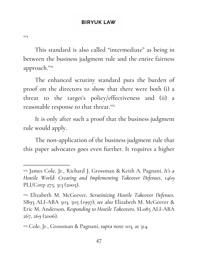103

This standard is also called "intermediate" as being in between the business judgment rule and the entire fairness approach. 104

The enhanced scrutiny standard puts the burden of proof on the directors to show that there were both (i) a threat to the target's policy/effectiveness and (ii) a reasonable response to that threat. 105

It is only after such a proof that the business judgment rule would apply.

The non-application of the business judgment rule that this paper advocates goes even further. It requires a higher

<sup>103</sup> James Cole, Jr., Richard J. Grossman & Keith A. Pagnani, *It's a Hostile World: Creating and Implementing Takeover Defenses*, 1469 PLI/Corp 275, 313 (2005).

<sup>104</sup> Elizabeth M. McGeever, *Scrutinizing Hostile Takeover Defenses*, SB93 ALI-ABA 503, 505 (1997); *see also* Elizabeth M. McGeever & Eric M. Anderson, *Responding to Hostile Takeovers*, SL085 ALI-ABA 267, 269 (2006).

<sup>105</sup> Cole, Jr., Grossman & Pagnani, *supra* note 103, at 314.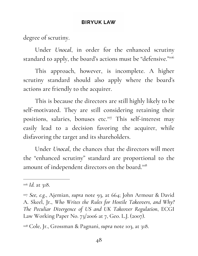degree of scrutiny.

Under *Unocal*, in order for the enhanced scrutiny standard to apply, the board's actions must be "defensive."106

This approach, however, is incomplete. A higher scrutiny standard should also apply where the board's actions are friendly to the acquirer.

This is because the directors are still highly likely to be self-motivated. They are still considering retaining their positions, salaries, bonuses etc.<sup>107</sup> This self-interest may easily lead to a decision favoring the acquirer, while disfavoring the target and its shareholders.

Under *Unocal*, the chances that the directors will meet the " enhanced scrutiny " standard are proportional to the amount of independent directors on the board.<sup>108</sup>

<sup>106</sup> *Id.* at 318.

<sup>107</sup> *See, e.g.*, Ajemian, *supra* note 93, at 664; John Armour & David A. Skeel, Jr., *Who Writes the Rules for Hostile Takeovers, and Why? The Peculiar Divergence of US and UK Takeover Regulation*, ECGI Law Working Paper No. 73/2006 at 7, Geo. L.J. (2007).

<sup>108</sup> Cole, Jr., Grossman & Pagnani, *supra* note 103, at 318.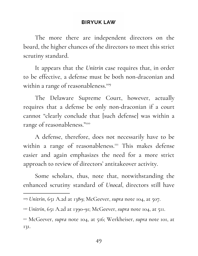The more there are independent directors on the board, the higher chances of the directors to meet this strict scrutiny standard.

It appears that the *Unitrin* case requires that, in order to be effective, a defense must be both non-draconian and within a range of reasonableness. 109

The Delaware Supreme Court, however, actually requires that a defense be only non-draconian if a court cannot " clearly conclude that [such defense] was within a range of reasonableness." 110

A defense, therefore, does not necessarily have to be within a range of reasonableness.<sup>III</sup> This makes defense easier and again emphasizes the need for a more strict approach to review of directors' antitakeover activity.

Some scholars, thus, note that, notwithstanding the enhanced scrutiny standard of *Unocal*, directors still have

<sup>111</sup> McGeever, *supra* note 104, at 516; Werkheiser, *supra* note 101, at 131.

<sup>109</sup> *Unitrin*, 651 A.2d at 1389; McGeever, *supra* note 104, at 507.

<sup>110</sup> *Unitrin*, 651 A.2d at 1390-91; McGeever, *supra* note 104, at 511.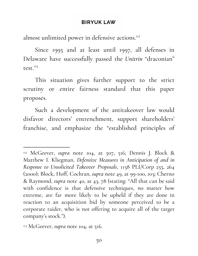almost unlimited power in defensive actions.<sup>112</sup>

Since 1995 and at least until 1997, all defenses in Delaware have successfully passed the *Unitrin* "draconian" test.<sup>113</sup>

This situation gives further support to the strict scrutiny or entire fairness standard that this paper proposes.

Such a development of the antitakeover law would disfavor directors' entrenchment, support shareholders' franchise, and emphasize the " established principles of

<sup>112</sup> McGeever, *supra* note 104, at 507, 516; Dennis J. Block & Matthew I. Kliegman, *Defensive Measures in Anticipation of and in Response to Unsolicited Takeover Proposals*, 1158 PLI/Corp 255, 264 (2000); Block, Hoff, Cochran, *supra* note 49, at 99-100, 103; Cherno & Raymond, *supra* note 40, at 43, 78 (stating: "All that can be said with confidence is that defensive techniques, no matter how extreme, are far more likely to be upheld if they are done in reaction to an acquisition bid by someone perceived to be a corporate raider, who is not offering to acquire all of the target company's stock.").

<sup>&</sup>lt;sup>113</sup> McGeever, *supra* note 104, at 516.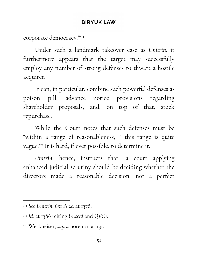corporate democracy." 114

Under such a landmark takeover case as *Unitrin*, it furthermore appears that the target may successfully employ any number of strong defenses to thwart a hostile acquirer.

It can, in particular, combine such powerful defenses as poison pill, advance notice provisions regarding shareholder proposals, and, on top of that, stock repurchase.

While the Court notes that such defenses must be "within a range of reasonableness,"<sup>115</sup> this range is quite vague.<sup>116</sup> It is hard, if ever possible, to determine it.

*Unitrin*, hence, instructs that " a court applying enhanced judicial scrutiny should be deciding whether the directors made a reasonable decision, not a perfect

<sup>114</sup> *See Unitrin*, 651 A.2d at 1378.

<sup>115</sup> *Id.* at 1386 (citing *Unocal* and *QVC*).

<sup>116</sup> Werkheiser, *supra* note 101, at 131.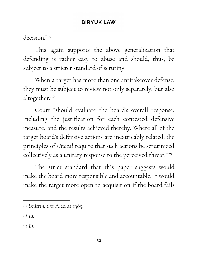decision."117

This again supports the above generalization that defending is rather easy to abuse and should, thus, be subject to a stricter standard of scrutiny.

When a target has more than one antitakeover defense, they must be subject to review not only separately, but also altogether.<sup>118</sup>

Court " should evaluate the board's overall response, including the justification for each contested defensive measure, and the results achieved thereby. Where all of the target board's defensive actions are inextricably related, the principles of *Unocal* require that such actions be scrutinized collectively as a unitary response to the perceived threat."119

The strict standard that this paper suggests would make the board more responsible and accountable. It would make the target more open to acquisition if the board fails

<sup>118</sup> *Id.*

<sup>119</sup> *Id.*

<sup>117</sup> *Unitrin*, 651 A.2d at 1385.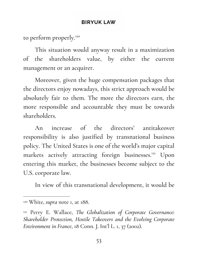to perform properly. 120

This situation would anyway result in a maximization of the shareholders value, by either the current management or an acquirer.

Moreover, given the huge compensation packages that the directors enjoy nowadays, this strict approach would be absolutely fair to them. The more the directors earn, the more responsible and accountable they must be towards shareholders.

An increase of the directors' antitakeover responsibility is also justified by transnational business policy. The United States is one of the world's major capital markets actively attracting foreign businesses.<sup>121</sup> Upon entering this market, the businesses become subject to the U.S. corporate law.

In view of this transnational development, it would be

<sup>120</sup> White, *supra* note 1, at 188.

<sup>121</sup> Perry E. Wallace, *The Globalization of Corporate Governance: Shareholder Protection, Hostile Takeovers and the Evolving Corporate Environment in France*, 18 Conn. J. Int'l L. 1, 37 (2002).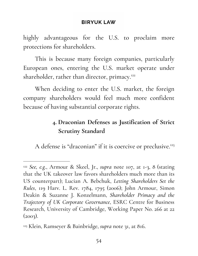highly advantageous for the U.S. to proclaim more protections for shareholders.

This is because many foreign companies, particularly European ones, entering the U.S. market operate under shareholder, rather than director, primacy.<sup>122</sup>

When deciding to enter the U.S. market, the foreign company shareholders would feel much more confident because of having substantial corporate rights.

# **4. Draconian Defenses as Justification of Strict Scrutiny Standard**

A defense is "draconian" if it is coercive or preclusive.<sup>123</sup>

<sup>122</sup> *See, e.g.*, Armour & Skeel, Jr., *supra* note 107, at 1-3, 8 (stating that the UK takeover law favors shareholders much more than its US counterpart); Lucian A. Bebchuk, *Letting Shareholders Set the Rules*, 119 Harv. L. Rev. 1784, 1795 (2006); John Armour, Simon Deakin & Suzanne J. Konzelmann, *Shareholder Primacy and the Trajectory of UK Corporate Governance*, ESRC Centre for Business Research, University of Cambridge, Working Paper No. 266 at 22  $(2003).$ 

<sup>123</sup> Klein, Ramseyer & Bainbridge, *supra* note 31, at 816.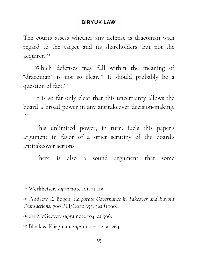The courts assess whether any defense is draconian with regard to the target and its shareholders, but not the acquirer. 124

Which defenses may fall within the meaning of "draconian" is not so clear.<sup>125</sup> It should probably be a question of fact. 126

It is so far only clear that this uncertainty allows the board a broad power in any antitakeover decision-making. 127

This unlimited power, in turn, fuels this paper's argument in favor of a strict scrutiny of the board's antitakeover actions.

There is also a sound argument that some

<sup>124</sup> Werkheiser, *supra* note 101, at 119.

<sup>125</sup> Andrew E. Bogen, *Corporate Governance in Takeover and Buyout Transactions*, 700 PLI/Corp 353, 362 (1990).

<sup>126</sup> *See* McGeever, *supra* note 104, at 506.

<sup>127</sup> Block & Kliegman, *supra* note 112, at 264.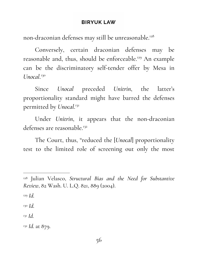non-draconian defenses may still be unreasonable. 128

Conversely, certain draconian defenses may be reasonable and, thus, should be enforceable.<sup>129</sup> An example can be the discriminatory self-tender offer by Mesa in Unocal.<sup>130</sup>

Since *Unocal* preceded *Unitrin*, the latter's proportionality standard might have barred the defenses permitted by *Unocal*. 131

Under *Unitrin*, it appears that the non-draconian defenses are reasonable.<sup>132</sup>

The Court, thus, " reduced the [*Unocal*] proportionality test to the limited role of screening out only the most

<sup>130</sup> *Id.*

<sup>131</sup> *Id.*

<sup>132</sup> *Id.* at 879.

<sup>128</sup> Julian Velasco, *Structural Bias and the Need for Substantive Review*, 82 Wash. U. L.Q. 821, 889 (2004).

<sup>129</sup> *Id.*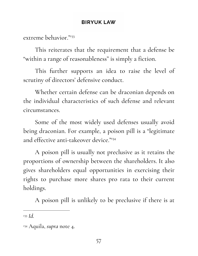extreme behavior." 133

This reiterates that the requirement that a defense be " within a range of reasonableness" is simply a fiction.

This further supports an idea to raise the level of scrutiny of directors' defensive conduct.

Whether certain defense can be draconian depends on the individual characteristics of such defense and relevant circumstances.

Some of the most widely used defenses usually avoid being draconian. For example, a poison pill is a "legitimate and effective anti-takeover device." 134

A poison pill is usually not preclusive as it retains the proportions of ownership between the shareholders. It also gives shareholders equal opportunities in exercising their rights to purchase more shares pro rata to their current holdings.

A poison pill is unlikely to be preclusive if there is at

<sup>133</sup> *Id.*

<sup>134</sup> Aquila, *supra* note 4.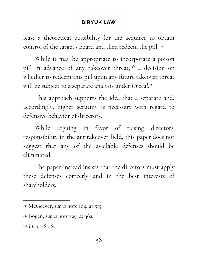least a theoretical possibility for the acquirer to obtain control of the target's board and then redeem the pill. 135

While it may be appropriate to incorporate a poison pill in advance of any takeover threat,<sup>136</sup> a decision on whether to redeem this pill upon any future takeover threat will be subject to a separate analysis under *Unocal*. 137

This approach supports the idea that a separate and, accordingly, higher scrutiny is necessary with regard to defensive behavior of directors.

While arguing in favor of raising directors' responsibility in the antitakeover field, this paper does not suggest that any of the available defenses should be eliminated.

The paper instead insists that the directors must apply these defenses correctly and in the best interests of shareholders.

<sup>&</sup>lt;sup>135</sup> McGeever, *supra* note 104, at 515.

<sup>136</sup> Bogen, *supra* note 125, at 362.

<sup>&</sup>lt;sup>137</sup> *Id.* at 362-63.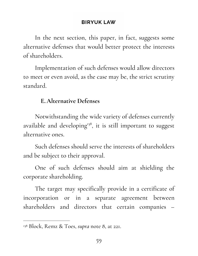In the next section, this paper, in fact, suggests some alternative defenses that would better protect the interests of shareholders.

Implementation of such defenses would allow directors to meet or even avoid, as the case may be, the strict scrutiny standard.

# **E.Alternative Defenses**

Notwithstanding the wide variety of defenses currently available and developing<sup>138</sup>, it is still important to suggest alternative ones.

Such defenses should serve the interests of shareholders and be subject to their approval.

One of such defenses should aim at shielding the corporate shareholding.

The target may specifically provide in a certificate of incorporation or in a separate agreement between shareholders and directors that certain companies –

<sup>138</sup> Block, Remz & Toes, *supra* note 8, at 221.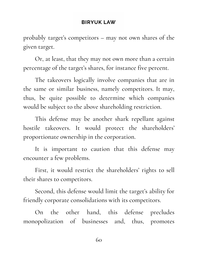probably target's competitors – may not own shares of the given target.

Or, at least, that they may not own more than a certain percentage of the target's shares, for instance five percent.

The takeovers logically involve companies that are in the same or similar business, namely competitors. It may, thus, be quite possible to determine which companies would be subject to the above shareholding restriction.

This defense may be another shark repellant against hostile takeovers. It would protect the shareholders' proportionate ownership in the corporation.

It is important to caution that this defense may encounter a few problems.

First, it would restrict the shareholders' rights to sell their shares to competitors.

Second, this defense would limit the target's ability for friendly corporate consolidations with its competitors.

On the other hand, this defense precludes monopolization of businesses and, thus, promotes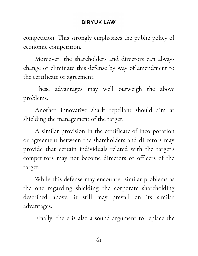competition. This strongly emphasizes the public policy of economic competition.

Moreover, the shareholders and directors can always change or eliminate this defense by way of amendment to the certificate or agreement.

These advantages may well outweigh the above problems.

Another innovative shark repellant should aim at shielding the management of the target.

A similar provision in the certificate of incorporation or agreement between the shareholders and directors may provide that certain individuals related with the target's competitors may not become directors or officers of the target.

While this defense may encounter similar problems as the one regarding shielding the corporate shareholding described above, it still may prevail on its similar advantages.

Finally, there is also a sound argument to replace the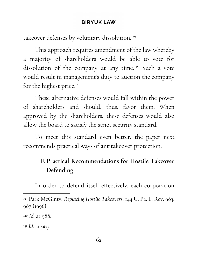takeover defenses by voluntary dissolution. 139

This approach requires amendment of the law whereby a majority of shareholders would be able to vote for dissolution of the company at any time.<sup>140</sup> Such a vote would result in management's duty to auction the company for the highest price.<sup>141</sup>

These alternative defenses would fall within the power of shareholders and should, thus, favor them. When approved by the shareholders, these defenses would also allow the board to satisfy the strict security standard.

To meet this standard even better, the paper next recommends practical ways of antitakeover protection.

# **F. Practical Recommendations for Hostile Takeover Defending**

In order to defend itself effectively, each corporation

<sup>139</sup> Park McGinty, *Replacing Hostile Takeovers*, 144 U. Pa. L. Rev. 983, 987 (1996).

<sup>140</sup> *Id.* at 988.

<sup>141</sup> *Id.* at 987.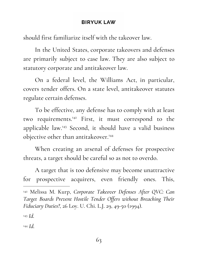should first familiarize itself with the takeover law.

In the United States, corporate takeovers and defenses are primarily subject to case law. They are also subject to statutory corporate and antitakeover law.

On a federal level, the Williams Act, in particular, covers tender offers. On a state level, antitakeover statutes regulate certain defenses.

To be effective, any defense has to comply with at least two requirements.<sup>142</sup> First, it must correspond to the applicable law.<sup>143</sup> Second, it should have a valid business objective other than antitakeover. 144

When creating an arsenal of defenses for prospective threats, a target should be careful so as not to overdo.

A target that is too defensive may become unattractive for prospective acquirers, even friendly ones. This,

<sup>142</sup> Melissa M. Kurp, *Corporate Takeover Defenses After QVC: Can Target Boards Prevent Hostile Tender Offers without Breaching Their Fiduciary Duties?*, 26 Loy. U. Chi. L.J. 29, 49-50 (1994).

<sup>143</sup> *Id.*

<sup>144</sup> *Id.*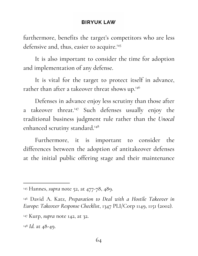furthermore, benefits the target's competitors who are less defensive and, thus, easier to acquire. 145

It is also important to consider the time for adoption and implementation of any defense.

It is vital for the target to protect itself in advance, rather than after a takeover threat shows up.<sup>146</sup>

Defenses in advance enjoy less scrutiny than those after a takeover threat.<sup>147</sup> Such defenses usually enjoy the traditional business judgment rule rather than the *Unocal* enhanced scrutiny standard. 148

Furthermore, it is important to consider the differences between the adoption of antitakeover defenses at the initial public offering stage and their maintenance

<sup>145</sup> Hannes, *supra* note 52, at 477-78, 489.

<sup>146</sup> David A. Katz, *Preparation to Deal with a Hostile Takeover in Europe: Takeover Response Checklist*, 1347 PLI/Corp 1149, 1151 (2002).

<sup>147</sup> Kurp, *supra* note 142, at 32.

<sup>148</sup> *Id.* at 48-49.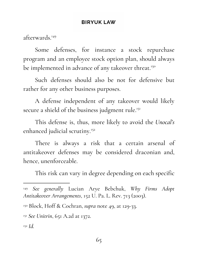afterwards. 149

Some defenses, for instance a stock repurchase program and an employee stock option plan, should always be implemented in advance of any takeover threat.<sup>150</sup>

Such defenses should also be not for defensive but rather for any other business purposes.

A defense independent of any takeover would likely secure a shield of the business judgment rule.<sup>151</sup>

This defense is, thus, more likely to avoid the *Unocal's* enhanced judicial scrutiny. 152

There is always a risk that a certain arsenal of antitakeover defenses may be considered draconian and, hence, unenforceable.

This risk can vary in degree depending on each specific

<sup>149</sup> *See generally* Lucian Arye Bebchuk, *Why Firms Adopt Antitakeover Arrangements*, 152 U. Pa. L. Rev. 713 (2003).

<sup>150</sup> Block, Hoff & Cochran, *supra* note 49, at 129-33.

<sup>151</sup> *See Unitrin*, 651 A.2d at 1372.

<sup>152</sup> *Id.*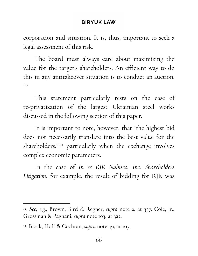corporation and situation. It is, thus, important to seek a legal assessment of this risk.

The board must always care about maximizing the value for the target's shareholders. An efficient way to do this in any antitakeover situation is to conduct an auction. 153

This statement particularly rests on the case of re-privatization of the largest Ukrainian steel works discussed in the following section of this paper.

It is important to note, however, that "the highest bid does not necessarily translate into the best value for the shareholders,"<sup>154</sup> particularly when the exchange involves complex economic parameters.

In the case of *In re RJR Nabisco, Inc. Shareholders Litigation*, for example, the result of bidding for RJR was

<sup>153</sup> *See, e.g.*, Brown, Bird & Regner, *supra* note 2, at 337; Cole, Jr., Grossman & Pagnani, *supra* note 103, at 322.

<sup>154</sup> Block, Hoff & Cochran, *supra* note 49, at 107.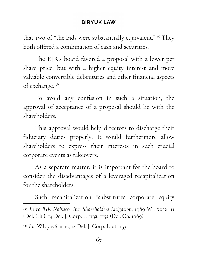that two of "the bids were substantially equivalent."<sup>155</sup> They both offered a combination of cash and securities.

The RJR's board favored a proposal with a lower per share price, but with a higher equity interest and more valuable convertible debentures and other financial aspects of exchange. 156

To avoid any confusion in such a situation, the approval of acceptance of a proposal should lie with the shareholders.

This approval would help directors to discharge their fiduciary duties properly. It would furthermore allow shareholders to express their interests in such crucial corporate events as takeovers.

As a separate matter, it is important for the board to consider the disadvantages of a leveraged recapitalization for the shareholders.

Such recapitalization " substitutes corporate equity <sup>155</sup> *In re RJR Nabisco, Inc. Shareholders Litigation*, 1989 WL 7036, 11 (Del. Ch.), 14 Del. J. Corp. L. 1132, 1152 (Del. Ch. 1989). <sup>156</sup> *Id.*, WL 7036 at 12, 14 Del. J. Corp. L. at 1153.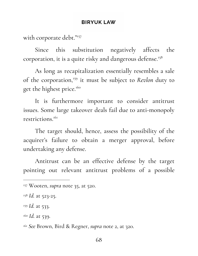with corporate debt." 157

Since this substitution negatively affects the corporation, it is a quite risky and dangerous defense. 158

As long as recapitalization essentially resembles a sale of the corporation,<sup>159</sup> it must be subject to *Revlon* duty to get the highest price. 160

It is furthermore important to consider antitrust issues. Some large takeover deals fail due to anti-monopoly restrictions. 161

The target should, hence, assess the possibility of the acquirer's failure to obtain a merger approval, before undertaking any defense.

Antitrust can be an effective defense by the target pointing out relevant antitrust problems of a possible

<sup>157</sup> Wooten, *supra* note 35, at 520.

<sup>158</sup> *Id.* at 523-25.

<sup>159</sup> *Id.* at 533.

<sup>160</sup> *Id.* at 539.

<sup>161</sup> *See* Brown, Bird & Regner, *supra* note 2, at 320.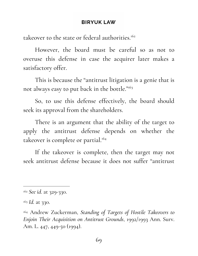takeover to the state or federal authorities.<sup>162</sup>

However, the board must be careful so as not to overuse this defense in case the acquirer later makes a satisfactory offer.

This is because the " antitrust litigation is a genie that is not always easy to put back in the bottle." 163

So, to use this defense effectively, the board should seek its approval from the shareholders.

There is an argument that the ability of the target to apply the antitrust defense depends on whether the takeover is complete or partial. 164

If the takeover is complete, then the target may not seek antitrust defense because it does not suffer " antitrust

<sup>162</sup> *See id.* at 329-330.

<sup>163</sup> *Id.* at 330.

<sup>164</sup> Andrew Zuckerman, *Standing of Targets of Hostile Takeovers to Enjoin Their Acquisition on Antitrust Grounds*, 1992/1993 Ann. Surv. Am. L. 447, 449-50 (1994).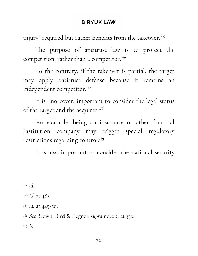injury " required but rather benefits from the takeover. 165

The purpose of antitrust law is to protect the competition, rather than a competitor. 166

To the contrary, if the takeover is partial, the target may apply antitrust defense because it remains an independent competitor. 167

It is, moreover, important to consider the legal status of the target and the acquirer.<sup>168</sup>

For example, being an insurance or other financial institution company may trigger special regulatory restrictions regarding control. 169

It is also important to consider the national security

<sup>169</sup> *Id.*

<sup>165</sup> *Id.*

<sup>166</sup> *Id.* at 482.

<sup>167</sup> *Id.* at 449-50.

<sup>168</sup> *See* Brown, Bird & Regner, *supra* note 2, at 330.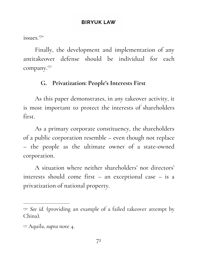issues. 170

Finally, the development and implementation of any antitakeover defense should be individual for each company. 171

# **G. Privatization: People's Interests First**

As this paper demonstrates, in any takeover activity, it is most important to protect the interests of shareholders first.

As a primary corporate constituency, the shareholders of a public corporation resemble – even though not replace – the people as the ultimate owner of a state-owned corporation.

A situation where neither shareholders' nor directors' interests should come first – an exceptional case – is a privatization of national property.

<sup>170</sup> *See id.* (providing an example of a failed takeover attempt by China).

<sup>171</sup> Aquila, *supra* note 4.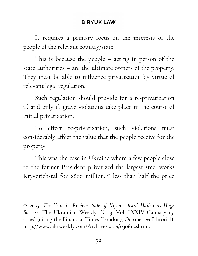It requires a primary focus on the interests of the people of the relevant country/state.

This is because the people – acting in person of the state authorities – are the ultimate owners of the property. They must be able to influence privatization by virtue of relevant legal regulation.

Such regulation should provide for a re-privatization if, and only if, grave violations take place in the course of initial privatization.

To effect re-privatization, such violations must considerably affect the value that the people receive for the property.

This was the case in Ukraine where a few people close to the former President privatized the largest steel works Kryvorizhstal for \$800 million,<sup>172</sup> less than half the price

<sup>172</sup> *2005: The Year in Review, Sale of Kryvorizhstal Hailed as Huge Success*, The Ukrainian Weekly, No. 3, Vol. LXXIV (January 15, 2006) (citing the Financial Times (London), October 26 Editorial), http://www.ukrweekly.com/Archive/2006/030612.shtml.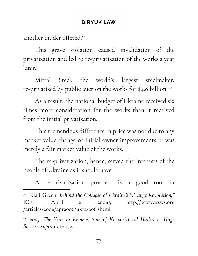another bidder offered. 173

This grave violation caused invalidation of the privatization and led to re-privatization of the works a year later.

Mittal Steel, the world's largest steelmaker, re-privatized by public auction the works for \$4.8 billion. 174

As a result, the national budget of Ukraine received six times more consideration for the works than it received from the initial privatization.

This tremendous difference in price was not due to any market value change or initial owner improvements. It was merely a fair market value of the works.

The re-privatization, hence, served the interests of the people of Ukraine as it should have.

A re-privatization prospect is a good tool in

<sup>173</sup> Niall Green, *Behind the Collapse of Ukraine's "Orange Revolution,"* ICFI (April 6, 2006), http://www.wsws.org /articles/2006/apr2006/ukra-a06.shtml.

<sup>174</sup> *2005: The Year in Review, Sale of Kryvorizhstal Hailed as Huge Success, supra* note 172.

73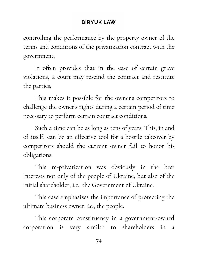controlling the performance by the property owner of the terms and conditions of the privatization contract with the government.

It often provides that in the case of certain grave violations, a court may rescind the contract and restitute the parties.

This makes it possible for the owner's competitors to challenge the owner's rights during a certain period of time necessary to perform certain contract conditions.

Such a time can be as long as tens of years. This, in and of itself, can be an effective tool for a hostile takeover by competitors should the current owner fail to honor his obligations.

This re-privatization was obviously in the best interests not only of the people of Ukraine, but also of the initial shareholder, i.e., the Government of Ukraine.

This case emphasizes the importance of protecting the ultimate business owner, *i.e.*, the people.

This corporate constituency in a government-owned corporation is very similar to shareholders in a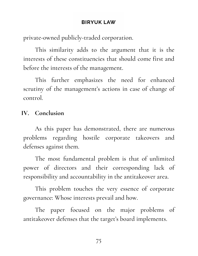private-owned publicly-traded corporation.

This similarity adds to the argument that it is the interests of these constituencies that should come first and before the interests of the management.

This further emphasizes the need for enhanced scrutiny of the management's actions in case of change of control.

# **IV. Conclusion**

As this paper has demonstrated, there are numerous problems regarding hostile corporate takeovers and defenses against them.

The most fundamental problem is that of unlimited power of directors and their corresponding lack of responsibility and accountability in the antitakeover area.

This problem touches the very essence of corporate governance: Whose interests prevail and how.

The paper focused on the major problems of antitakeover defenses that the target's board implements.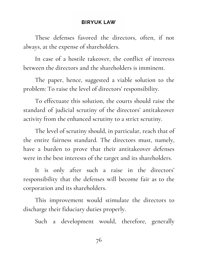These defenses favored the directors, often, if not always, at the expense of shareholders.

In case of a hostile takeover, the conflict of interests between the directors and the shareholders is imminent.

The paper, hence, suggested a viable solution to the problem: To raise the level of directors' responsibility.

To effectuate this solution, the courts should raise the standard of judicial scrutiny of the directors' antitakeover activity from the enhanced scrutiny to a strict scrutiny.

The level of scrutiny should, in particular, reach that of the entire fairness standard. The directors must, namely, have a burden to prove that their antitakeover defenses were in the best interests of the target and its shareholders.

It is only after such a raise in the directors' responsibility that the defenses will become fair as to the corporation and its shareholders.

This improvement would stimulate the directors to discharge their fiduciary duties properly.

Such a development would, therefore, generally